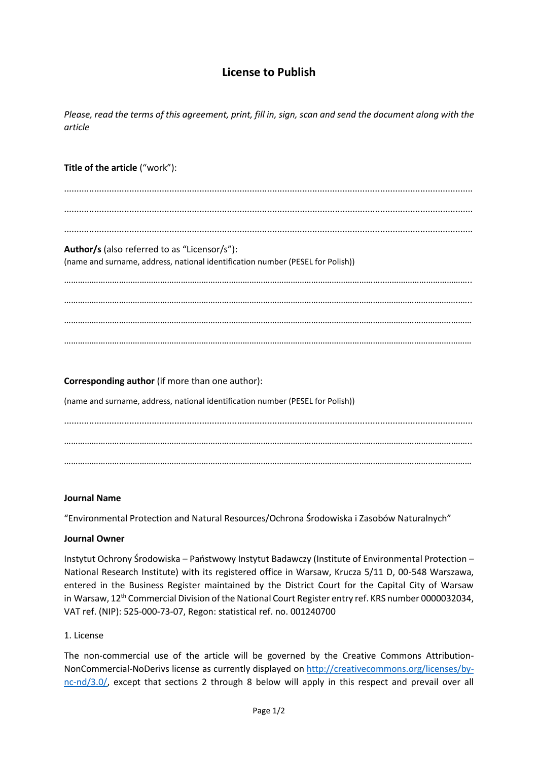# **License to Publish**

*Please, read the terms of this agreement, print, fill in, sign, scan and send the document along with the article*

### **Title of the article** ("work"):

................................................................................................................................................................... ................................................................................................................................................................... ...................................................................................................................................................................

# **Author/s** (also referred to as "Licensor/s"):

(name and surname, address, national identification number (PESEL for Polish))

…………………………………………………………………………………………………………………………..……………………………….. ………………………………………………………………………………………………………………………………………………………..….. …………………………………………………………………………………………………………………………………………………….……… …………………………………………………………………………………………………………………………………………………….………

**Corresponding author** (if more than one author): (name and surname, address, national identification number (PESEL for Polish)) ................................................................................................................................................................... ……………………………………………………………………………………………………………………………………………………..…….. ……………………………………………………………………………………………………………………………………………………….……

#### **Journal Name**

"Environmental Protection and Natural Resources/Ochrona Środowiska i Zasobów Naturalnych"

#### **Journal Owner**

Instytut Ochrony Środowiska – Państwowy Instytut Badawczy (Institute of Environmental Protection – National Research Institute) with its registered office in Warsaw, Krucza 5/11 D, 00-548 Warszawa, entered in the Business Register maintained by the District Court for the Capital City of Warsaw in Warsaw, 12<sup>th</sup> Commercial Division of the National Court Register entry ref. KRS number 0000032034, VAT ref. (NIP): 525-000-73-07, Regon: statistical ref. no. 001240700

#### 1. License

The non-commercial use of the article will be governed by the Creative Commons Attribution-NonCommercial-NoDerivs license as currently displayed on [http://creativecommons.org/licenses/by](http://creativecommons.org/licenses/by-nc-nd/3.0/)[nc-nd/3.0/,](http://creativecommons.org/licenses/by-nc-nd/3.0/) except that sections 2 through 8 below will apply in this respect and prevail over all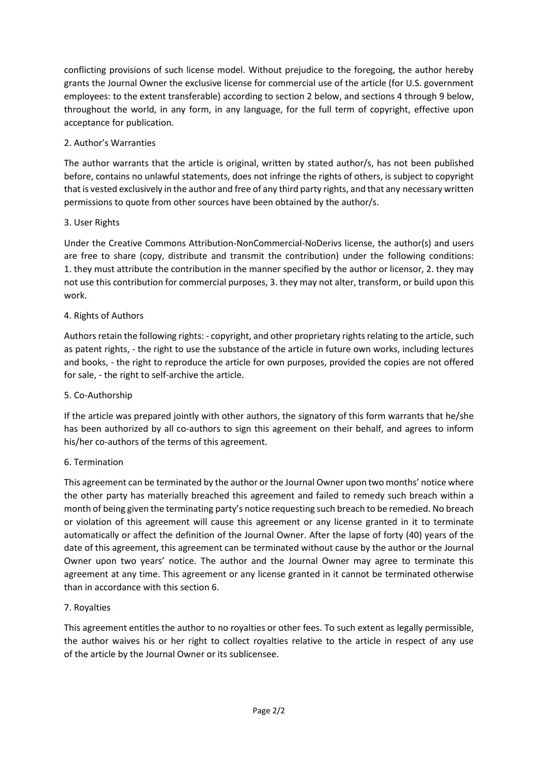conflicting provisions of such license model. Without prejudice to the foregoing, the author hereby grants the Journal Owner the exclusive license for commercial use of the article (for U.S. government employees: to the extent transferable) according to section 2 below, and sections 4 through 9 below, throughout the world, in any form, in any language, for the full term of copyright, effective upon acceptance for publication.

# 2. Author's Warranties

The author warrants that the article is original, written by stated author/s, has not been published before, contains no unlawful statements, does not infringe the rights of others, is subject to copyright that is vested exclusively in the author and free of any third party rights, and that any necessary written permissions to quote from other sources have been obtained by the author/s.

# 3. User Rights

Under the Creative Commons Attribution-NonCommercial-NoDerivs license, the author(s) and users are free to share (copy, distribute and transmit the contribution) under the following conditions: 1. they must attribute the contribution in the manner specified by the author or licensor, 2. they may not use this contribution for commercial purposes, 3. they may not alter, transform, or build upon this work.

# 4. Rights of Authors

Authors retain the following rights: - copyright, and other proprietary rights relating to the article, such as patent rights, - the right to use the substance of the article in future own works, including lectures and books, - the right to reproduce the article for own purposes, provided the copies are not offered for sale, - the right to self-archive the article.

### 5. Co-Authorship

If the article was prepared jointly with other authors, the signatory of this form warrants that he/she has been authorized by all co-authors to sign this agreement on their behalf, and agrees to inform his/her co-authors of the terms of this agreement.

### 6. Termination

This agreement can be terminated by the author or the Journal Owner upon two months' notice where the other party has materially breached this agreement and failed to remedy such breach within a month of being given the terminating party's notice requesting such breach to be remedied. No breach or violation of this agreement will cause this agreement or any license granted in it to terminate automatically or affect the definition of the Journal Owner. After the lapse of forty (40) years of the date of this agreement, this agreement can be terminated without cause by the author or the Journal Owner upon two years' notice. The author and the Journal Owner may agree to terminate this agreement at any time. This agreement or any license granted in it cannot be terminated otherwise than in accordance with this section 6.

### 7. Royalties

This agreement entitles the author to no royalties or other fees. To such extent as legally permissible, the author waives his or her right to collect royalties relative to the article in respect of any use of the article by the Journal Owner or its sublicensee.